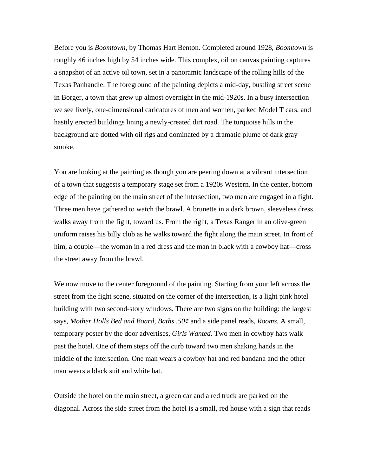Before you is *Boomtown,* by Thomas Hart Benton. Completed around 1928, *Boomtown* is roughly 46 inches high by 54 inches wide. This complex, oil on canvas painting captures a snapshot of an active oil town, set in a panoramic landscape of the rolling hills of the Texas Panhandle. The foreground of the painting depicts a mid-day, bustling street scene in Borger, a town that grew up almost overnight in the mid-1920s. In a busy intersection we see lively, one-dimensional caricatures of men and women, parked Model T cars, and hastily erected buildings lining a newly-created dirt road. The turquoise hills in the background are dotted with oil rigs and dominated by a dramatic plume of dark gray smoke.

You are looking at the painting as though you are peering down at a vibrant intersection of a town that suggests a temporary stage set from a 1920s Western. In the center, bottom edge of the painting on the main street of the intersection, two men are engaged in a fight. Three men have gathered to watch the brawl. A brunette in a dark brown, sleeveless dress walks away from the fight, toward us. From the right, a Texas Ranger in an olive-green uniform raises his billy club as he walks toward the fight along the main street. In front of him, a couple—the woman in a red dress and the man in black with a cowboy hat—cross the street away from the brawl.

We now move to the center foreground of the painting. Starting from your left across the street from the fight scene, situated on the corner of the intersection, is a light pink hotel building with two second-story windows. There are two signs on the building: the largest says, *Mother Holls Bed and Board, Baths .50¢* and a side panel reads, *Rooms.* A small, temporary poster by the door advertises, *Girls Wanted*. Two men in cowboy hats walk past the hotel. One of them steps off the curb toward two men shaking hands in the middle of the intersection. One man wears a cowboy hat and red bandana and the other man wears a black suit and white hat.

Outside the hotel on the main street, a green car and a red truck are parked on the diagonal. Across the side street from the hotel is a small, red house with a sign that reads